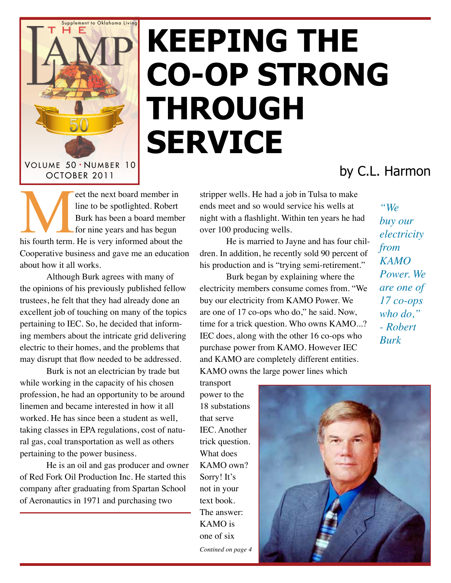

## **Keeping the Co‑Op Strong Through Service**

## by C.L. Harmon

et the next board member in<br>
line to be spotlighted. Robert<br>
Burk has been a board member<br>
for nine years and has begun<br>
his fourth term. He is very informed about the line to be spotlighted. Robert Burk has been a board member for nine years and has begun Cooperative business and gave me an education about how it all works.

Although Burk agrees with many of the opinions of his previously published fellow trustees, he felt that they had already done an excellent job of touching on many of the topics pertaining to IEC. So, he decided that informing members about the intricate grid delivering electric to their homes, and the problems that may disrupt that flow needed to be addressed.

Burk is not an electrician by trade but while working in the capacity of his chosen profession, he had an opportunity to be around linemen and became interested in how it all worked. He has since been a student as well, taking classes in EPA regulations, cost of natural gas, coal transportation as well as others pertaining to the power business.

He is an oil and gas producer and owner of Red Fork Oil Production Inc. He started this company after graduating from Spartan School of Aeronautics in 1971 and purchasing two

stripper wells. He had a job in Tulsa to make ends meet and so would service his wells at night with a flashlight. Within ten years he had over 100 producing wells.

He is married to Jayne and has four children. In addition, he recently sold 90 percent of his production and is "trying semi-retirement."

Burk began by explaining where the electricity members consume comes from. "We buy our electricity from KAMO Power. We are one of 17 co-ops who do," he said. Now, time for a trick question. Who owns KAMO...? IEC does, along with the other 16 co-ops who purchase power from KAMO. However IEC and KAMO are completely different entities. KAMO owns the large power lines which

transport power to the 18 substations that serve IEC. Another trick question. What does KAMO own? Sorry! It's not in your text book. The answer: KAMO is one of six *Contined on page 4*

*"We buy our electricity from KAMO Power. We are one of 17 co-ops who do," - Robert Burk*

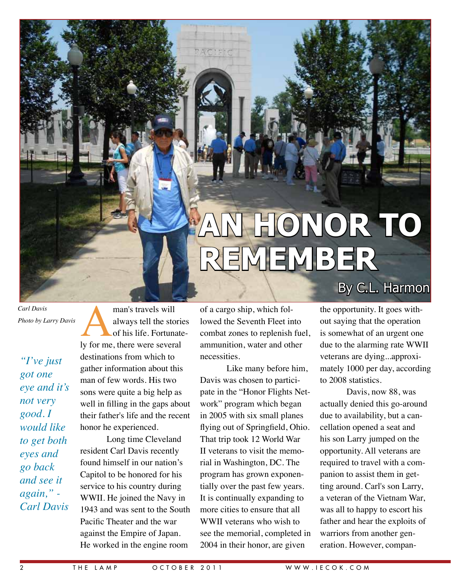# **An Honor To Remember**

*Carl Davis Photo by Larry Davis*

*"I've just got one eye and it's not very good. I would like to get both eyes and go back and see it again," - Carl Davis*

man's travels will<br>always tell the stories<br>of his life. Fortunate<br>ly for me, there were several always tell the stories of his life. Fortunatedestinations from which to gather information about this man of few words. His two sons were quite a big help as well in filling in the gaps about their father's life and the recent honor he experienced.

Long time Cleveland resident Carl Davis recently found himself in our nation's Capitol to be honored for his service to his country during WWII. He joined the Navy in 1943 and was sent to the South Pacific Theater and the war against the Empire of Japan. He worked in the engine room

of a cargo ship, which followed the Seventh Fleet into combat zones to replenish fuel, ammunition, water and other necessities.

Like many before him, Davis was chosen to participate in the "Honor Flights Network" program which began in 2005 with six small planes flying out of Springfield, Ohio. That trip took 12 World War II veterans to visit the memorial in Washington, DC. The program has grown exponentially over the past few years. It is continually expanding to more cities to ensure that all WWII veterans who wish to see the memorial, completed in 2004 in their honor, are given

### By C.L. Harmon

the opportunity. It goes without saying that the operation is somewhat of an urgent one due to the alarming rate WWII veterans are dying...approximately 1000 per day, according to 2008 statistics.

Davis, now 88, was actually denied this go-around due to availability, but a cancellation opened a seat and his son Larry jumped on the opportunity. All veterans are required to travel with a companion to assist them in getting around. Carl's son Larry, a veteran of the Vietnam War, was all to happy to escort his father and hear the exploits of warriors from another generation. However, compan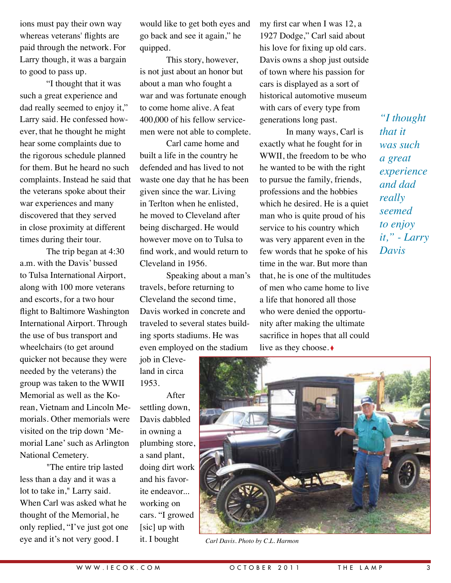ions must pay their own way whereas veterans' flights are paid through the network. For Larry though, it was a bargain to good to pass up.

"I thought that it was such a great experience and dad really seemed to enjoy it," Larry said. He confessed however, that he thought he might hear some complaints due to the rigorous schedule planned for them. But he heard no such complaints. Instead he said that the veterans spoke about their war experiences and many discovered that they served in close proximity at different times during their tour.

The trip began at 4:30 a.m. with the Davis' bussed to Tulsa International Airport, along with 100 more veterans and escorts, for a two hour flight to Baltimore Washington International Airport. Through the use of bus transport and wheelchairs (to get around quicker not because they were needed by the veterans) the group was taken to the WWII Memorial as well as the Korean, Vietnam and Lincoln Memorials. Other memorials were visited on the trip down 'Memorial Lane' such as Arlington National Cemetery.

"The entire trip lasted less than a day and it was a lot to take in," Larry said. When Carl was asked what he thought of the Memorial, he only replied, "I've just got one eye and it's not very good. I

would like to get both eyes and go back and see it again," he quipped.

This story, however, is not just about an honor but about a man who fought a war and was fortunate enough to come home alive. A feat 400,000 of his fellow servicemen were not able to complete.

Carl came home and built a life in the country he defended and has lived to not waste one day that he has been given since the war. Living in Terlton when he enlisted, he moved to Cleveland after being discharged. He would however move on to Tulsa to find work, and would return to Cleveland in 1956.

Speaking about a man's travels, before returning to Cleveland the second time, Davis worked in concrete and traveled to several states building sports stadiums. He was even employed on the stadium

job in Cleveland in circa 1953.

After settling down, Davis dabbled in owning a plumbing store, a sand plant, doing dirt work and his favorite endeavor... working on cars. "I growed [sic] up with it. I bought

my first car when I was 12, a 1927 Dodge," Carl said about his love for fixing up old cars. Davis owns a shop just outside of town where his passion for cars is displayed as a sort of historical automotive museum with cars of every type from generations long past.

In many ways, Carl is exactly what he fought for in WWII, the freedom to be who he wanted to be with the right to pursue the family, friends, professions and the hobbies which he desired. He is a quiet man who is quite proud of his service to his country which was very apparent even in the few words that he spoke of his time in the war. But more than that, he is one of the multitudes of men who came home to live a life that honored all those who were denied the opportunity after making the ultimate sacrifice in hopes that all could live as they choose. ◊

*"I thought that it was such a great experience and dad really seemed to enjoy it," - Larry Davis*



*Carl Davis. Photo by C.L. Harmon*